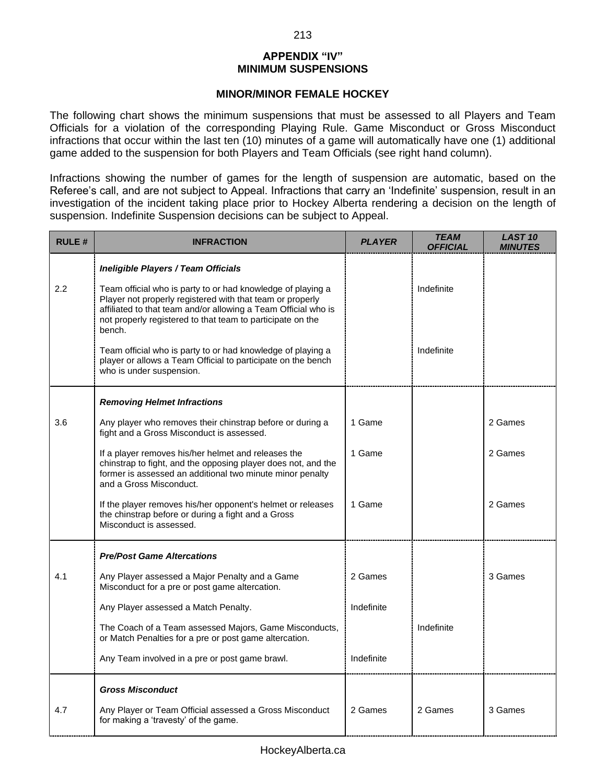# **APPENDIX "IV" MINIMUM SUSPENSIONS**

#### **MINOR/MINOR FEMALE HOCKEY**

The following chart shows the minimum suspensions that must be assessed to all Players and Team Officials for a violation of the corresponding Playing Rule. Game Misconduct or Gross Misconduct infractions that occur within the last ten (10) minutes of a game will automatically have one (1) additional game added to the suspension for both Players and Team Officials (see right hand column).

Infractions showing the number of games for the length of suspension are automatic, based on the Referee's call, and are not subject to Appeal. Infractions that carry an 'Indefinite' suspension, result in an investigation of the incident taking place prior to Hockey Alberta rendering a decision on the length of suspension. Indefinite Suspension decisions can be subject to Appeal.

| <b>RULE#</b> | <b>INFRACTION</b>                                                                                                                                                                                                                                                  | <b>PLAYER</b> | <b>TEAM</b><br><b>OFFICIAL</b> | <b>LAST 10</b><br><b>MINUTES</b> |
|--------------|--------------------------------------------------------------------------------------------------------------------------------------------------------------------------------------------------------------------------------------------------------------------|---------------|--------------------------------|----------------------------------|
|              | Ineligible Players / Team Officials                                                                                                                                                                                                                                |               |                                |                                  |
| 2.2          | Team official who is party to or had knowledge of playing a<br>Player not properly registered with that team or properly<br>affiliated to that team and/or allowing a Team Official who is<br>not properly registered to that team to participate on the<br>bench. |               | Indefinite                     |                                  |
|              | Team official who is party to or had knowledge of playing a<br>player or allows a Team Official to participate on the bench<br>who is under suspension.                                                                                                            |               | Indefinite                     |                                  |
|              | <b>Removing Helmet Infractions</b>                                                                                                                                                                                                                                 |               |                                |                                  |
| 3.6          | Any player who removes their chinstrap before or during a<br>fight and a Gross Misconduct is assessed.                                                                                                                                                             | 1 Game        |                                | 2 Games                          |
|              | If a player removes his/her helmet and releases the<br>chinstrap to fight, and the opposing player does not, and the<br>former is assessed an additional two minute minor penalty<br>and a Gross Misconduct.                                                       | 1 Game        |                                | 2 Games                          |
|              | If the player removes his/her opponent's helmet or releases<br>the chinstrap before or during a fight and a Gross<br>Misconduct is assessed.                                                                                                                       | 1 Game        |                                | 2 Games                          |
|              | <b>Pre/Post Game Altercations</b>                                                                                                                                                                                                                                  |               |                                |                                  |
| 4.1          | Any Player assessed a Major Penalty and a Game<br>Misconduct for a pre or post game altercation.                                                                                                                                                                   | 2 Games       |                                | 3 Games                          |
|              | Any Player assessed a Match Penalty.                                                                                                                                                                                                                               | Indefinite    |                                |                                  |
|              | The Coach of a Team assessed Majors, Game Misconducts,<br>or Match Penalties for a pre or post game altercation.                                                                                                                                                   |               | Indefinite                     |                                  |
|              | Any Team involved in a pre or post game brawl.                                                                                                                                                                                                                     | Indefinite    |                                |                                  |
|              | <b>Gross Misconduct</b>                                                                                                                                                                                                                                            |               |                                |                                  |
| 4.7          | Any Player or Team Official assessed a Gross Misconduct<br>for making a 'travesty' of the game.                                                                                                                                                                    | 2 Games       | 2 Games                        | 3 Games                          |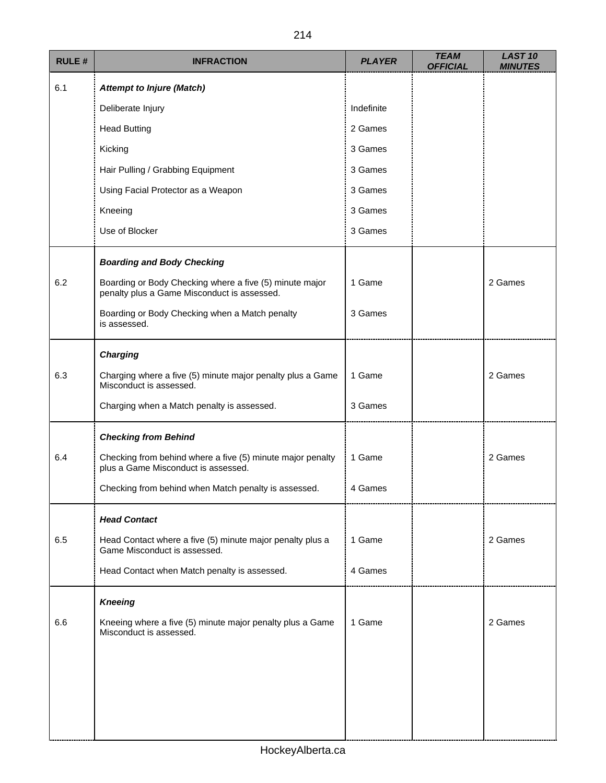| <b>RULE#</b> | <b>INFRACTION</b>                                                                                      | <b>PLAYER</b> | <b>TEAM</b><br><b>OFFICIAL</b> | <b>LAST 10</b><br><b>MINUTES</b> |
|--------------|--------------------------------------------------------------------------------------------------------|---------------|--------------------------------|----------------------------------|
| 6.1          | <b>Attempt to Injure (Match)</b>                                                                       |               |                                |                                  |
|              | Deliberate Injury                                                                                      | Indefinite    |                                |                                  |
|              | <b>Head Butting</b>                                                                                    | 2 Games       |                                |                                  |
|              | Kicking                                                                                                | 3 Games       |                                |                                  |
|              | Hair Pulling / Grabbing Equipment                                                                      | 3 Games       |                                |                                  |
|              | Using Facial Protector as a Weapon                                                                     | 3 Games       |                                |                                  |
|              | Kneeing                                                                                                | 3 Games       |                                |                                  |
|              | Use of Blocker                                                                                         | 3 Games       |                                |                                  |
|              | <b>Boarding and Body Checking</b>                                                                      |               |                                |                                  |
| 6.2          | Boarding or Body Checking where a five (5) minute major<br>penalty plus a Game Misconduct is assessed. | 1 Game        |                                | 2 Games                          |
|              | Boarding or Body Checking when a Match penalty<br>is assessed.                                         | 3 Games       |                                |                                  |
|              | <b>Charging</b>                                                                                        |               |                                |                                  |
| 6.3          | Charging where a five (5) minute major penalty plus a Game<br>Misconduct is assessed.                  | 1 Game        |                                | 2 Games                          |
|              | Charging when a Match penalty is assessed.                                                             | 3 Games       |                                |                                  |
|              | <b>Checking from Behind</b>                                                                            |               |                                |                                  |
| 6.4          | Checking from behind where a five (5) minute major penalty<br>plus a Game Misconduct is assessed.      | 1 Game        |                                | 2 Games                          |
|              | Checking from behind when Match penalty is assessed.                                                   | 4 Games       |                                |                                  |
|              | <b>Head Contact</b>                                                                                    |               |                                |                                  |
| 6.5          | Head Contact where a five (5) minute major penalty plus a<br>Game Misconduct is assessed.              | 1 Game        |                                | 2 Games                          |
|              | Head Contact when Match penalty is assessed.                                                           | 4 Games       |                                |                                  |
|              | <b>Kneeing</b>                                                                                         |               |                                |                                  |
| 6.6          | Kneeing where a five (5) minute major penalty plus a Game<br>Misconduct is assessed.                   | 1 Game        |                                | 2 Games                          |
|              |                                                                                                        |               |                                |                                  |
|              |                                                                                                        |               |                                |                                  |
|              |                                                                                                        |               |                                |                                  |
|              |                                                                                                        |               |                                |                                  |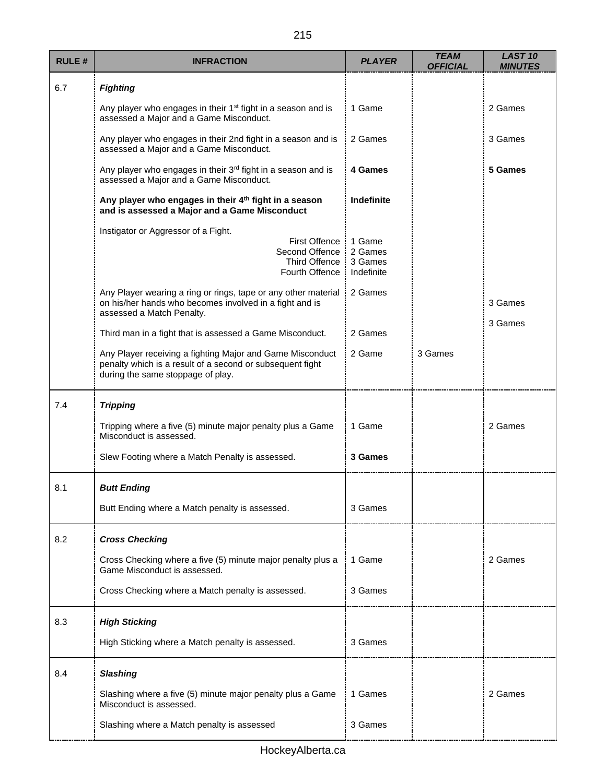| <b>RULE#</b> | <b>INFRACTION</b>                                                                                                                                           | <b>PLAYER</b>                              | <b>TEAM</b><br><b>OFFICIAL</b> | <b>LAST 10</b><br><b>MINUTES</b> |
|--------------|-------------------------------------------------------------------------------------------------------------------------------------------------------------|--------------------------------------------|--------------------------------|----------------------------------|
| 6.7          | <b>Fighting</b>                                                                                                                                             |                                            |                                |                                  |
|              | Any player who engages in their 1 <sup>st</sup> fight in a season and is<br>assessed a Major and a Game Misconduct.                                         | 1 Game                                     |                                | 2 Games                          |
|              | Any player who engages in their 2nd fight in a season and is<br>assessed a Major and a Game Misconduct.                                                     | 2 Games                                    |                                | 3 Games                          |
|              | Any player who engages in their 3rd fight in a season and is<br>assessed a Major and a Game Misconduct.                                                     | 4 Games                                    |                                | 5 Games                          |
|              | Any player who engages in their 4 <sup>th</sup> fight in a season<br>and is assessed a Major and a Game Misconduct                                          | Indefinite                                 |                                |                                  |
|              | Instigator or Aggressor of a Fight.<br><b>First Offence</b><br>Second Offence<br><b>Third Offence</b><br>Fourth Offence                                     | 1 Game<br>2 Games<br>3 Games<br>Indefinite |                                |                                  |
|              | Any Player wearing a ring or rings, tape or any other material<br>on his/her hands who becomes involved in a fight and is<br>assessed a Match Penalty.      | 2 Games                                    |                                | 3 Games                          |
|              | Third man in a fight that is assessed a Game Misconduct.                                                                                                    | 2 Games                                    |                                | 3 Games                          |
|              | Any Player receiving a fighting Major and Game Misconduct<br>penalty which is a result of a second or subsequent fight<br>during the same stoppage of play. | 2 Game                                     | 3 Games                        |                                  |
| 7.4          | <b>Tripping</b>                                                                                                                                             |                                            |                                |                                  |
|              | Tripping where a five (5) minute major penalty plus a Game<br>Misconduct is assessed.                                                                       | 1 Game                                     |                                | 2 Games                          |
|              | Slew Footing where a Match Penalty is assessed.                                                                                                             | 3 Games                                    |                                |                                  |
| 8.1          | <b>Butt Ending</b>                                                                                                                                          |                                            |                                |                                  |
|              | Butt Ending where a Match penalty is assessed.                                                                                                              | 3 Games                                    |                                |                                  |
| 8.2          | <b>Cross Checking</b>                                                                                                                                       |                                            |                                |                                  |
|              | Cross Checking where a five (5) minute major penalty plus a<br>Game Misconduct is assessed.                                                                 | 1 Game                                     |                                | 2 Games                          |
|              | Cross Checking where a Match penalty is assessed.                                                                                                           | 3 Games                                    |                                |                                  |
| 8.3          | <b>High Sticking</b>                                                                                                                                        |                                            |                                |                                  |
|              | High Sticking where a Match penalty is assessed.                                                                                                            | 3 Games                                    |                                |                                  |
| 8.4          | <b>Slashing</b>                                                                                                                                             |                                            |                                |                                  |
|              | Slashing where a five (5) minute major penalty plus a Game<br>Misconduct is assessed.                                                                       | 1 Games                                    |                                | 2 Games                          |
|              | Slashing where a Match penalty is assessed                                                                                                                  | 3 Games                                    |                                |                                  |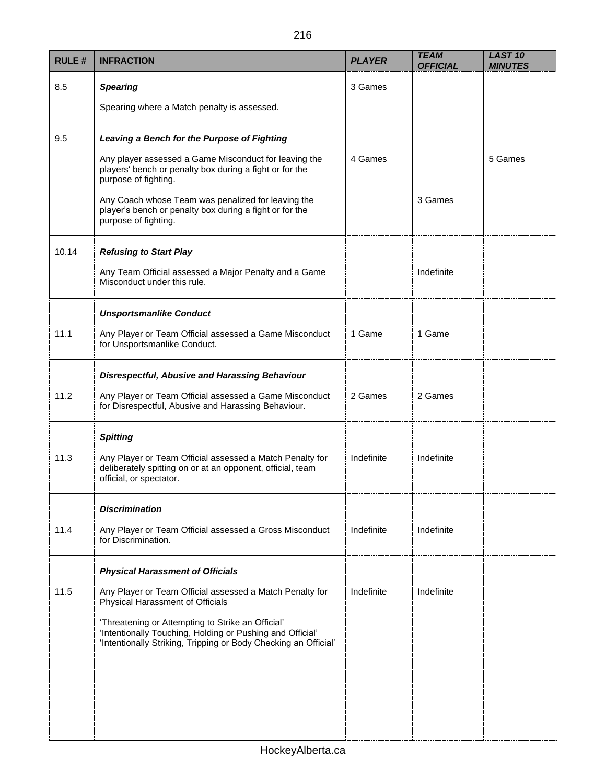| <b>RULE#</b> | <b>INFRACTION</b>                                                                                                                                                                 | <b>PLAYER</b> | <b>TEAM</b><br><b>OFFICIAL</b> | <b>LAST 10</b><br><b>MINUTES</b> |
|--------------|-----------------------------------------------------------------------------------------------------------------------------------------------------------------------------------|---------------|--------------------------------|----------------------------------|
| 8.5          | <b>Spearing</b>                                                                                                                                                                   | 3 Games       |                                |                                  |
|              | Spearing where a Match penalty is assessed.                                                                                                                                       |               |                                |                                  |
| 9.5          | Leaving a Bench for the Purpose of Fighting                                                                                                                                       |               |                                |                                  |
|              | Any player assessed a Game Misconduct for leaving the<br>players' bench or penalty box during a fight or for the<br>purpose of fighting.                                          | 4 Games       |                                | 5 Games                          |
|              | Any Coach whose Team was penalized for leaving the<br>player's bench or penalty box during a fight or for the<br>purpose of fighting.                                             |               | 3 Games                        |                                  |
| 10.14        | <b>Refusing to Start Play</b>                                                                                                                                                     |               |                                |                                  |
|              | Any Team Official assessed a Major Penalty and a Game<br>Misconduct under this rule.                                                                                              |               | Indefinite                     |                                  |
|              | <b>Unsportsmanlike Conduct</b>                                                                                                                                                    |               |                                |                                  |
| 11.1         | Any Player or Team Official assessed a Game Misconduct<br>for Unsportsmanlike Conduct.                                                                                            | 1 Game        | 1 Game                         |                                  |
|              | <b>Disrespectful, Abusive and Harassing Behaviour</b>                                                                                                                             |               |                                |                                  |
| 11.2         | Any Player or Team Official assessed a Game Misconduct<br>for Disrespectful, Abusive and Harassing Behaviour.                                                                     | 2 Games       | 2 Games                        |                                  |
|              | <b>Spitting</b>                                                                                                                                                                   |               |                                |                                  |
| 11.3         | Any Player or Team Official assessed a Match Penalty for<br>deliberately spitting on or at an opponent, official, team<br>official, or spectator.                                 | Indefinite    | Indefinite                     |                                  |
|              | <b>Discrimination</b>                                                                                                                                                             |               |                                |                                  |
| 11.4         | Any Player or Team Official assessed a Gross Misconduct<br>for Discrimination.                                                                                                    | Indefinite    | Indefinite                     |                                  |
|              | <b>Physical Harassment of Officials</b>                                                                                                                                           |               |                                |                                  |
| 11.5         | Any Player or Team Official assessed a Match Penalty for<br>Physical Harassment of Officials                                                                                      | Indefinite    | Indefinite                     |                                  |
|              | 'Threatening or Attempting to Strike an Official'<br>'Intentionally Touching, Holding or Pushing and Official'<br>'Intentionally Striking, Tripping or Body Checking an Official' |               |                                |                                  |
|              |                                                                                                                                                                                   |               |                                |                                  |
|              |                                                                                                                                                                                   |               |                                |                                  |
|              |                                                                                                                                                                                   |               |                                |                                  |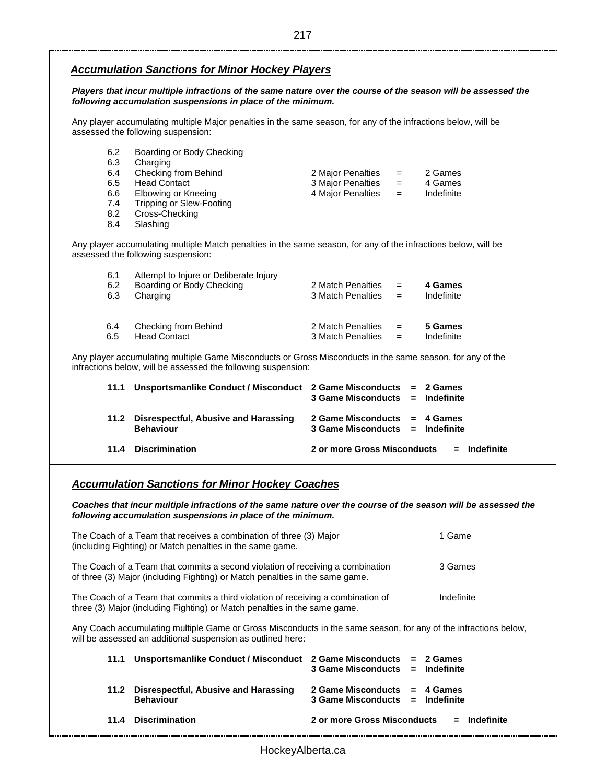#### *Accumulation Sanctions for Minor Hockey Players*

*Players that incur multiple infractions of the same nature over the course of the season will be assessed the following accumulation suspensions in place of the minimum.* 

Any player accumulating multiple Major penalties in the same season, for any of the infractions below, will be assessed the following suspension:

| 6.2<br>6.3 | Boarding or Body Checking<br>Charging |                   |     |            |
|------------|---------------------------------------|-------------------|-----|------------|
| 6.4        | Checking from Behind                  | 2 Major Penalties | $=$ | 2 Games    |
|            |                                       |                   |     |            |
| 6.5        | <b>Head Contact</b>                   | 3 Major Penalties | $=$ | 4 Games    |
| 6.6        | Elbowing or Kneeing                   | 4 Major Penalties | $=$ | Indefinite |
| 7.4        | Tripping or Slew-Footing              |                   |     |            |
| 8.2        | Cross-Checking                        |                   |     |            |
| 8.4        | Slashing                              |                   |     |            |

Any player accumulating multiple Match penalties in the same season, for any of the infractions below, will be assessed the following suspension:

| 6.1<br>6.2<br>6.3 | Attempt to Injure or Deliberate Injury<br>Boarding or Body Checking<br>Charging | 2 Match Penalties<br>3 Match Penalties | $=$<br>$=$ | 4 Games<br>Indefinite |
|-------------------|---------------------------------------------------------------------------------|----------------------------------------|------------|-----------------------|
| 6.4               | Checking from Behind                                                            | 2 Match Penalties                      | $=$        | 5 Games               |
| 6.5               | <b>Head Contact</b>                                                             | 3 Match Penalties                      | $=$        | Indefinite            |

Any player accumulating multiple Game Misconducts or Gross Misconducts in the same season, for any of the infractions below, will be assessed the following suspension:

| 11.1 | Unsportsmanlike Conduct / Misconduct 2 Game Misconducts = 2 Games | $3$ Game Misconducts $=$ Indefinite                                 |  |                |
|------|-------------------------------------------------------------------|---------------------------------------------------------------------|--|----------------|
|      | 11.2 Disrespectful, Abusive and Harassing<br><b>Behaviour</b>     | 2 Game Misconducts $= 4$ Games<br>$3$ Game Misconducts = Indefinite |  |                |
|      | 11.4 Discrimination                                               | 2 or more Gross Misconducts                                         |  | $=$ Indefinite |

### *Accumulation Sanctions for Minor Hockey Coaches*

*Coaches that incur multiple infractions of the same nature over the course of the season will be assessed the following accumulation suspensions in place of the minimum.*

| The Coach of a Team that receives a combination of three (3) Major<br>(including Fighting) or Match penalties in the same game.                                | 1 Game     |
|----------------------------------------------------------------------------------------------------------------------------------------------------------------|------------|
| The Coach of a Team that commits a second violation of receiving a combination<br>of three (3) Major (including Fighting) or Match penalties in the same game. | 3 Games    |
| The Coach of a Team that commits a third violation of receiving a combination of                                                                               | Indefinite |

three (3) Major (including Fighting) or Match penalties in the same game.

Any Coach accumulating multiple Game or Gross Misconducts in the same season, for any of the infractions below, will be assessed an additional suspension as outlined here:

| 11.1 Unsportsmanlike Conduct / Misconduct 2 Game Misconducts = 2 Games | 3 Game Misconducts = Indefinite                                   |                                            |
|------------------------------------------------------------------------|-------------------------------------------------------------------|--------------------------------------------|
| 11.2 Disrespectful, Abusive and Harassing<br><b>Behaviour</b>          | 2 Game Misconducts $= 4$ Games<br>3 Game Misconducts = Indefinite |                                            |
| 11.4 Discrimination                                                    |                                                                   | 2 or more Gross Misconducts $=$ Indefinite |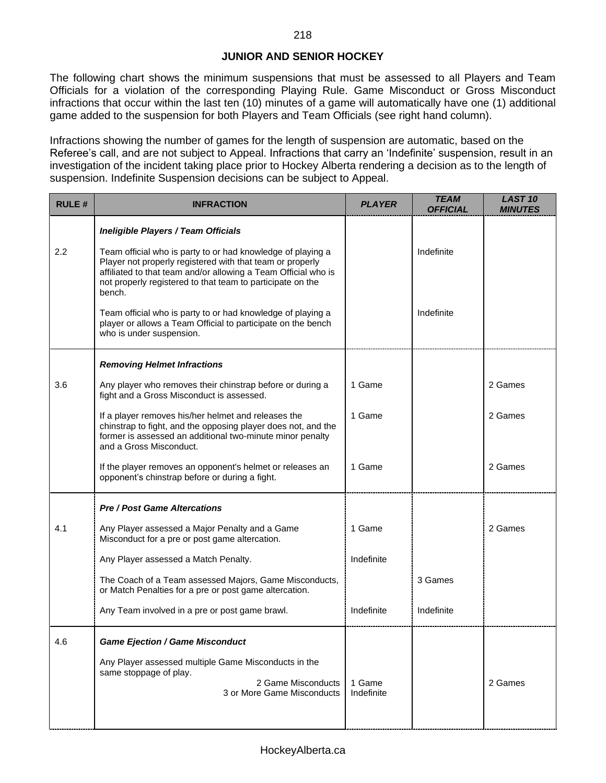# **JUNIOR AND SENIOR HOCKEY**

The following chart shows the minimum suspensions that must be assessed to all Players and Team Officials for a violation of the corresponding Playing Rule. Game Misconduct or Gross Misconduct infractions that occur within the last ten (10) minutes of a game will automatically have one (1) additional game added to the suspension for both Players and Team Officials (see right hand column).

Infractions showing the number of games for the length of suspension are automatic, based on the Referee's call, and are not subject to Appeal. Infractions that carry an 'Indefinite' suspension, result in an investigation of the incident taking place prior to Hockey Alberta rendering a decision as to the length of suspension. Indefinite Suspension decisions can be subject to Appeal.

| <b>RULE#</b> | <b>INFRACTION</b>                                                                                                                                                                                                                                                  | <b>PLAYER</b>        | <b>TEAM</b><br><b>OFFICIAL</b> | <b>LAST 10</b><br><b>MINUTES</b> |
|--------------|--------------------------------------------------------------------------------------------------------------------------------------------------------------------------------------------------------------------------------------------------------------------|----------------------|--------------------------------|----------------------------------|
|              | Ineligible Players / Team Officials                                                                                                                                                                                                                                |                      |                                |                                  |
| 2.2          | Team official who is party to or had knowledge of playing a<br>Player not properly registered with that team or properly<br>affiliated to that team and/or allowing a Team Official who is<br>not properly registered to that team to participate on the<br>bench. |                      | Indefinite                     |                                  |
|              | Team official who is party to or had knowledge of playing a<br>player or allows a Team Official to participate on the bench<br>who is under suspension.                                                                                                            |                      | Indefinite                     |                                  |
|              | <b>Removing Helmet Infractions</b>                                                                                                                                                                                                                                 |                      |                                |                                  |
| 3.6          | Any player who removes their chinstrap before or during a<br>fight and a Gross Misconduct is assessed.                                                                                                                                                             | 1 Game               |                                | 2 Games                          |
|              | If a player removes his/her helmet and releases the<br>chinstrap to fight, and the opposing player does not, and the<br>former is assessed an additional two-minute minor penalty<br>and a Gross Misconduct.                                                       | 1 Game               |                                | 2 Games                          |
|              | If the player removes an opponent's helmet or releases an<br>opponent's chinstrap before or during a fight.                                                                                                                                                        | 1 Game               |                                | 2 Games                          |
|              | <b>Pre / Post Game Altercations</b>                                                                                                                                                                                                                                |                      |                                |                                  |
| 4.1          | Any Player assessed a Major Penalty and a Game<br>Misconduct for a pre or post game altercation.                                                                                                                                                                   | 1 Game               |                                | 2 Games                          |
|              | Any Player assessed a Match Penalty.                                                                                                                                                                                                                               | Indefinite           |                                |                                  |
|              | The Coach of a Team assessed Majors, Game Misconducts,<br>or Match Penalties for a pre or post game altercation.                                                                                                                                                   |                      | 3 Games                        |                                  |
|              | Any Team involved in a pre or post game brawl.                                                                                                                                                                                                                     | Indefinite           | Indefinite                     |                                  |
| 4.6          | <b>Game Ejection / Game Misconduct</b>                                                                                                                                                                                                                             |                      |                                |                                  |
|              | Any Player assessed multiple Game Misconducts in the<br>same stoppage of play.<br>2 Game Misconducts<br>3 or More Game Misconducts                                                                                                                                 | 1 Game<br>Indefinite |                                | 2 Games                          |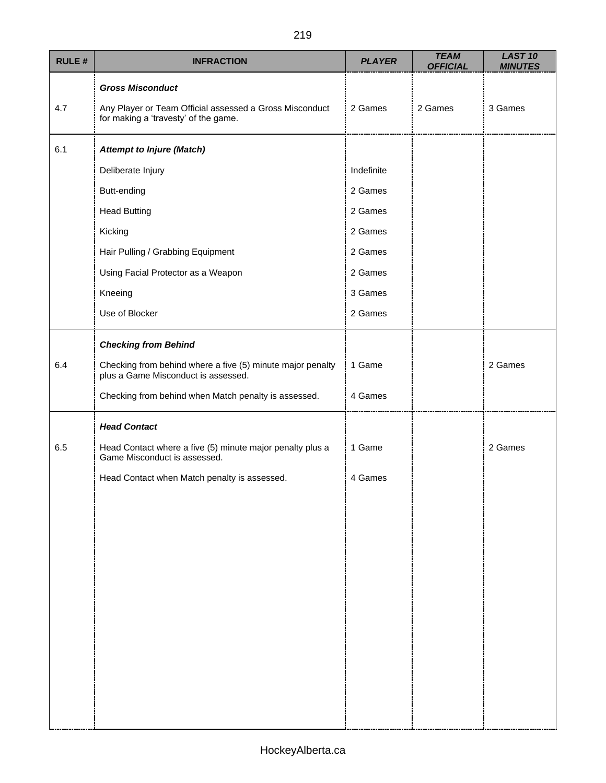| <b>RULE#</b> | <b>INFRACTION</b>                                                                                 | <b>PLAYER</b> | <b>TEAM</b><br><b>OFFICIAL</b> | <b>LAST 10</b><br><b>MINUTES</b> |
|--------------|---------------------------------------------------------------------------------------------------|---------------|--------------------------------|----------------------------------|
|              | <b>Gross Misconduct</b>                                                                           |               |                                |                                  |
| 4.7          | Any Player or Team Official assessed a Gross Misconduct<br>for making a 'travesty' of the game.   | 2 Games       | 2 Games                        | 3 Games                          |
| 6.1          | <b>Attempt to Injure (Match)</b>                                                                  |               |                                |                                  |
|              | Deliberate Injury                                                                                 | Indefinite    |                                |                                  |
|              | Butt-ending                                                                                       | 2 Games       |                                |                                  |
|              | <b>Head Butting</b>                                                                               | 2 Games       |                                |                                  |
|              | Kicking                                                                                           | 2 Games       |                                |                                  |
|              | Hair Pulling / Grabbing Equipment                                                                 | 2 Games       |                                |                                  |
|              | Using Facial Protector as a Weapon                                                                | 2 Games       |                                |                                  |
|              | Kneeing                                                                                           | 3 Games       |                                |                                  |
|              | Use of Blocker                                                                                    | 2 Games       |                                |                                  |
|              | <b>Checking from Behind</b>                                                                       |               |                                |                                  |
| 6.4          | Checking from behind where a five (5) minute major penalty<br>plus a Game Misconduct is assessed. | 1 Game        |                                | 2 Games                          |
|              | Checking from behind when Match penalty is assessed.                                              | 4 Games       |                                |                                  |
|              | <b>Head Contact</b>                                                                               |               |                                |                                  |
| 6.5          | Head Contact where a five (5) minute major penalty plus a<br>Game Misconduct is assessed.         | 1 Game        |                                | 2 Games                          |
|              | Head Contact when Match penalty is assessed.                                                      | 4 Games       |                                |                                  |
|              |                                                                                                   |               |                                |                                  |
|              |                                                                                                   |               |                                |                                  |
|              |                                                                                                   |               |                                |                                  |
|              |                                                                                                   |               |                                |                                  |
|              |                                                                                                   |               |                                |                                  |
|              |                                                                                                   |               |                                |                                  |
|              |                                                                                                   |               |                                |                                  |
|              |                                                                                                   |               |                                |                                  |
|              |                                                                                                   |               |                                |                                  |
|              |                                                                                                   |               |                                |                                  |
|              |                                                                                                   |               |                                |                                  |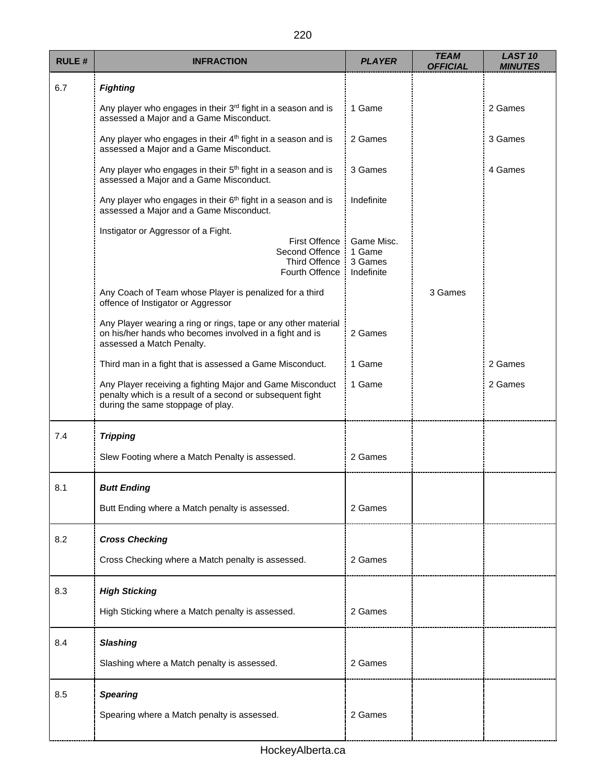| <b>RULE#</b> | <b>INFRACTION</b>                                                                                                                                           | <b>PLAYER</b>                                 | <b>TEAM</b><br><b>OFFICIAL</b> | <b>LAST 10</b><br><b>MINUTES</b> |
|--------------|-------------------------------------------------------------------------------------------------------------------------------------------------------------|-----------------------------------------------|--------------------------------|----------------------------------|
| 6.7          | <b>Fighting</b>                                                                                                                                             |                                               |                                |                                  |
|              | Any player who engages in their 3rd fight in a season and is<br>assessed a Major and a Game Misconduct.                                                     | 1 Game                                        |                                | 2 Games                          |
|              | Any player who engages in their 4 <sup>th</sup> fight in a season and is<br>assessed a Major and a Game Misconduct.                                         | 2 Games                                       |                                | 3 Games                          |
|              | Any player who engages in their 5 <sup>th</sup> fight in a season and is<br>assessed a Major and a Game Misconduct.                                         | 3 Games                                       |                                | 4 Games                          |
|              | Any player who engages in their 6 <sup>th</sup> fight in a season and is<br>assessed a Major and a Game Misconduct.                                         | Indefinite                                    |                                |                                  |
|              | Instigator or Aggressor of a Fight.<br><b>First Offence</b><br>Second Offence<br><b>Third Offence</b><br>Fourth Offence                                     | Game Misc.<br>1 Game<br>3 Games<br>Indefinite |                                |                                  |
|              | Any Coach of Team whose Player is penalized for a third<br>offence of Instigator or Aggressor                                                               |                                               | 3 Games                        |                                  |
|              | Any Player wearing a ring or rings, tape or any other material<br>on his/her hands who becomes involved in a fight and is<br>assessed a Match Penalty.      | 2 Games                                       |                                |                                  |
|              | Third man in a fight that is assessed a Game Misconduct.                                                                                                    | 1 Game                                        |                                | 2 Games                          |
|              | Any Player receiving a fighting Major and Game Misconduct<br>penalty which is a result of a second or subsequent fight<br>during the same stoppage of play. | 1 Game                                        |                                | 2 Games                          |
| 7.4          | <b>Tripping</b>                                                                                                                                             |                                               |                                |                                  |
|              | Slew Footing where a Match Penalty is assessed.                                                                                                             | 2 Games                                       |                                |                                  |
| 8.1          | <b>Butt Ending</b>                                                                                                                                          |                                               |                                |                                  |
|              | Butt Ending where a Match penalty is assessed.                                                                                                              | 2 Games                                       |                                |                                  |
| 8.2          | <b>Cross Checking</b>                                                                                                                                       |                                               |                                |                                  |
|              | Cross Checking where a Match penalty is assessed.                                                                                                           | 2 Games                                       |                                |                                  |
| 8.3          | <b>High Sticking</b>                                                                                                                                        |                                               |                                |                                  |
|              | High Sticking where a Match penalty is assessed.                                                                                                            | 2 Games                                       |                                |                                  |
| 8.4          | <b>Slashing</b>                                                                                                                                             |                                               |                                |                                  |
|              | Slashing where a Match penalty is assessed.                                                                                                                 | 2 Games                                       |                                |                                  |
| 8.5          | <b>Spearing</b>                                                                                                                                             |                                               |                                |                                  |
|              | Spearing where a Match penalty is assessed.                                                                                                                 | 2 Games                                       |                                |                                  |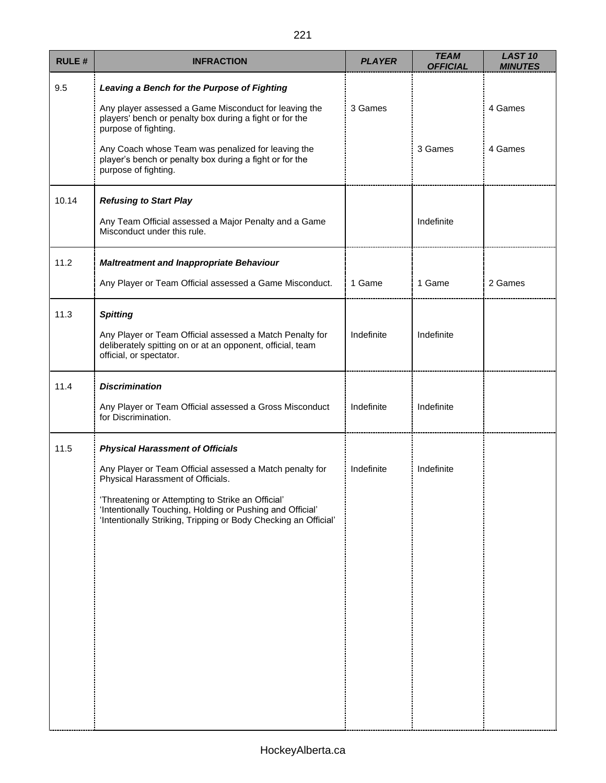| <b>RULE#</b> | <b>INFRACTION</b>                                                                                                                                                                 | <b>PLAYER</b> | <b>TEAM</b><br><b>OFFICIAL</b> | <b>LAST 10</b><br><b>MINUTES</b> |
|--------------|-----------------------------------------------------------------------------------------------------------------------------------------------------------------------------------|---------------|--------------------------------|----------------------------------|
| 9.5          | Leaving a Bench for the Purpose of Fighting                                                                                                                                       |               |                                |                                  |
|              | Any player assessed a Game Misconduct for leaving the<br>players' bench or penalty box during a fight or for the<br>purpose of fighting.                                          | 3 Games       |                                | 4 Games                          |
|              | Any Coach whose Team was penalized for leaving the<br>player's bench or penalty box during a fight or for the<br>purpose of fighting.                                             |               | 3 Games                        | 4 Games                          |
| 10.14        | <b>Refusing to Start Play</b>                                                                                                                                                     |               |                                |                                  |
|              | Any Team Official assessed a Major Penalty and a Game<br>Misconduct under this rule.                                                                                              |               | Indefinite                     |                                  |
| 11.2         | <b>Maltreatment and Inappropriate Behaviour</b>                                                                                                                                   |               |                                |                                  |
|              | Any Player or Team Official assessed a Game Misconduct.                                                                                                                           | 1 Game        | 1 Game                         | 2 Games                          |
| 11.3         | <b>Spitting</b>                                                                                                                                                                   |               |                                |                                  |
|              | Any Player or Team Official assessed a Match Penalty for<br>deliberately spitting on or at an opponent, official, team<br>official, or spectator.                                 | Indefinite    | Indefinite                     |                                  |
| 11.4         | <b>Discrimination</b>                                                                                                                                                             |               |                                |                                  |
|              | Any Player or Team Official assessed a Gross Misconduct<br>for Discrimination.                                                                                                    | Indefinite    | Indefinite                     |                                  |
| 11.5         | <b>Physical Harassment of Officials</b>                                                                                                                                           |               |                                |                                  |
|              | Any Player or Team Official assessed a Match penalty for<br>Physical Harassment of Officials.                                                                                     | Indefinite    | Indefinite                     |                                  |
|              | 'Threatening or Attempting to Strike an Official'<br>'Intentionally Touching, Holding or Pushing and Official'<br>'Intentionally Striking, Tripping or Body Checking an Official' |               |                                |                                  |
|              |                                                                                                                                                                                   |               |                                |                                  |
|              |                                                                                                                                                                                   |               |                                |                                  |
|              |                                                                                                                                                                                   |               |                                |                                  |
|              |                                                                                                                                                                                   |               |                                |                                  |
|              |                                                                                                                                                                                   |               |                                |                                  |
|              |                                                                                                                                                                                   |               |                                |                                  |
|              |                                                                                                                                                                                   |               |                                |                                  |
|              |                                                                                                                                                                                   |               |                                |                                  |